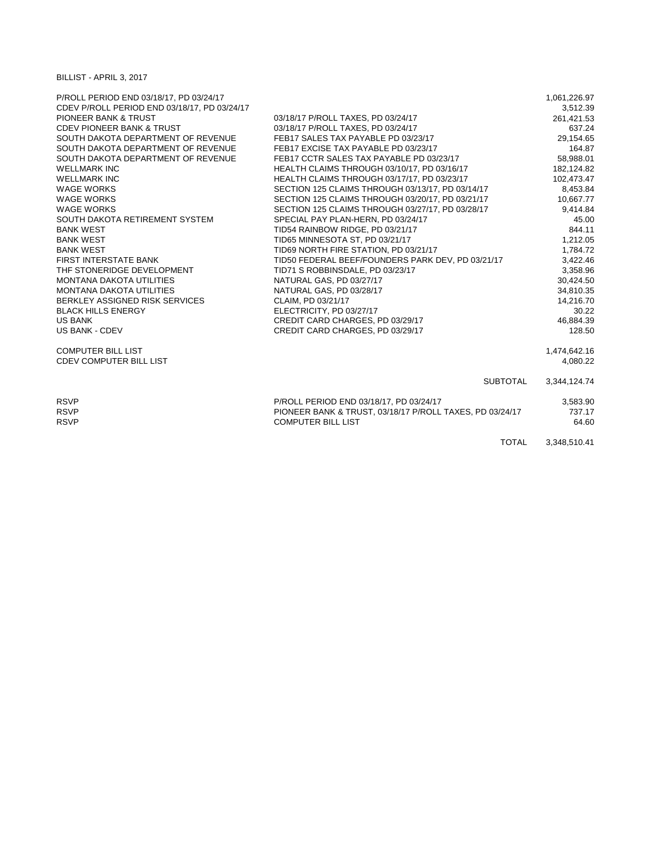BILLIST - APRIL 3, 2017

| P/ROLL PERIOD END 03/18/17, PD 03/24/17      |                                                          | 1,061,226.97 |
|----------------------------------------------|----------------------------------------------------------|--------------|
| CDEV P/ROLL PERIOD END 03/18/17, PD 03/24/17 |                                                          | 3,512.39     |
| <b>PIONEER BANK &amp; TRUST</b>              | 03/18/17 P/ROLL TAXES, PD 03/24/17                       | 261,421.53   |
| <b>CDEV PIONEER BANK &amp; TRUST</b>         | 03/18/17 P/ROLL TAXES, PD 03/24/17                       | 637.24       |
| SOUTH DAKOTA DEPARTMENT OF REVENUE           | FEB17 SALES TAX PAYABLE PD 03/23/17                      | 29,154.65    |
| SOUTH DAKOTA DEPARTMENT OF REVENUE           | FEB17 EXCISE TAX PAYABLE PD 03/23/17                     | 164.87       |
| SOUTH DAKOTA DEPARTMENT OF REVENUE           | FEB17 CCTR SALES TAX PAYABLE PD 03/23/17                 | 58,988.01    |
| <b>WELLMARK INC</b>                          | HEALTH CLAIMS THROUGH 03/10/17, PD 03/16/17              | 182,124.82   |
| <b>WELLMARK INC</b>                          | HEALTH CLAIMS THROUGH 03/17/17, PD 03/23/17              | 102,473.47   |
| <b>WAGE WORKS</b>                            | SECTION 125 CLAIMS THROUGH 03/13/17, PD 03/14/17         | 8,453.84     |
| <b>WAGE WORKS</b>                            | SECTION 125 CLAIMS THROUGH 03/20/17, PD 03/21/17         | 10,667.77    |
| <b>WAGE WORKS</b>                            | SECTION 125 CLAIMS THROUGH 03/27/17, PD 03/28/17         | 9,414.84     |
| SOUTH DAKOTA RETIREMENT SYSTEM               | SPECIAL PAY PLAN-HERN, PD 03/24/17                       | 45.00        |
| <b>BANK WEST</b>                             | TID54 RAINBOW RIDGE, PD 03/21/17                         | 844.11       |
| <b>BANK WEST</b>                             | TID65 MINNESOTA ST, PD 03/21/17                          | 1,212.05     |
| <b>BANK WEST</b>                             | TID69 NORTH FIRE STATION, PD 03/21/17                    | 1,784.72     |
| FIRST INTERSTATE BANK                        | TID50 FEDERAL BEEF/FOUNDERS PARK DEV, PD 03/21/17        | 3,422.46     |
| THE STONERIDGE DEVELOPMENT                   | TID71 S ROBBINSDALE, PD 03/23/17                         | 3,358.96     |
| <b>MONTANA DAKOTA UTILITIES</b>              | NATURAL GAS, PD 03/27/17                                 | 30,424.50    |
| <b>MONTANA DAKOTA UTILITIES</b>              | NATURAL GAS, PD 03/28/17                                 | 34,810.35    |
| BERKLEY ASSIGNED RISK SERVICES               | CLAIM, PD 03/21/17                                       | 14,216.70    |
| <b>BLACK HILLS ENERGY</b>                    | ELECTRICITY, PD 03/27/17                                 | 30.22        |
| <b>US BANK</b>                               | CREDIT CARD CHARGES, PD 03/29/17                         | 46,884.39    |
| US BANK - CDEV                               | CREDIT CARD CHARGES, PD 03/29/17                         | 128.50       |
| <b>COMPUTER BILL LIST</b>                    |                                                          | 1,474,642.16 |
| <b>CDEV COMPUTER BILL LIST</b>               |                                                          | 4,080.22     |
|                                              | <b>SUBTOTAL</b>                                          | 3,344,124.74 |
| <b>RSVP</b>                                  | P/ROLL PERIOD END 03/18/17, PD 03/24/17                  | 3,583.90     |
| <b>RSVP</b>                                  | PIONEER BANK & TRUST, 03/18/17 P/ROLL TAXES, PD 03/24/17 | 737.17       |
| <b>RSVP</b>                                  | <b>COMPUTER BILL LIST</b>                                | 64.60        |
|                                              | <b>TOTAL</b>                                             | 3,348,510.41 |
|                                              |                                                          |              |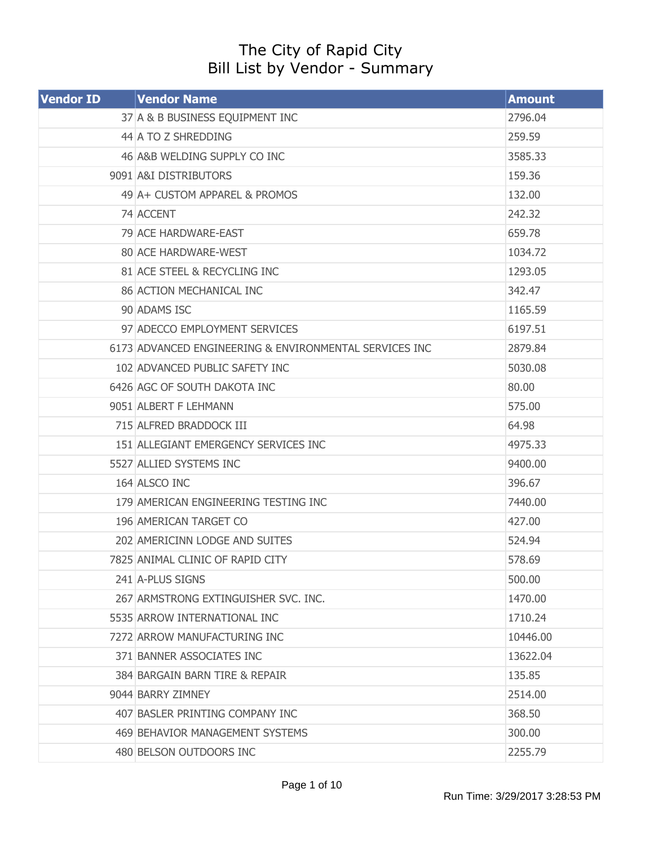## The City of Rapid City Bill List by Vendor - Summary

| <b>Vendor ID</b> | <b>Vendor Name</b>                                     | <b>Amount</b> |
|------------------|--------------------------------------------------------|---------------|
|                  | 37 A & B BUSINESS EQUIPMENT INC                        | 2796.04       |
|                  | 44 A TO Z SHREDDING                                    | 259.59        |
|                  | 46 A&B WELDING SUPPLY CO INC                           | 3585.33       |
|                  | 9091 A&I DISTRIBUTORS                                  | 159.36        |
|                  | 49 A + CUSTOM APPAREL & PROMOS                         | 132.00        |
|                  | 74 ACCENT                                              | 242.32        |
|                  | 79 ACE HARDWARE-EAST                                   | 659.78        |
|                  | 80 ACE HARDWARE-WEST                                   | 1034.72       |
|                  | 81 ACE STEEL & RECYCLING INC                           | 1293.05       |
|                  | 86 ACTION MECHANICAL INC                               | 342.47        |
|                  | 90 ADAMS ISC                                           | 1165.59       |
|                  | 97 ADECCO EMPLOYMENT SERVICES                          | 6197.51       |
|                  | 6173 ADVANCED ENGINEERING & ENVIRONMENTAL SERVICES INC | 2879.84       |
|                  | 102 ADVANCED PUBLIC SAFETY INC                         | 5030.08       |
|                  | 6426 AGC OF SOUTH DAKOTA INC                           | 80.00         |
|                  | 9051 ALBERT F LEHMANN                                  | 575.00        |
|                  | 715 ALFRED BRADDOCK III                                | 64.98         |
|                  | 151 ALLEGIANT EMERGENCY SERVICES INC                   | 4975.33       |
|                  | 5527 ALLIED SYSTEMS INC                                | 9400.00       |
|                  | 164 ALSCO INC                                          | 396.67        |
|                  | 179 AMERICAN ENGINEERING TESTING INC                   | 7440.00       |
|                  | 196 AMERICAN TARGET CO                                 | 427.00        |
|                  | 202 AMERICINN LODGE AND SUITES                         | 524.94        |
|                  | 7825 ANIMAL CLINIC OF RAPID CITY                       | 578.69        |
|                  | 241 A-PLUS SIGNS                                       | 500.00        |
|                  | 267 ARMSTRONG EXTINGUISHER SVC. INC.                   | 1470.00       |
|                  | 5535 ARROW INTERNATIONAL INC                           | 1710.24       |
|                  | 7272 ARROW MANUFACTURING INC                           | 10446.00      |
|                  | 371 BANNER ASSOCIATES INC                              | 13622.04      |
|                  | 384 BARGAIN BARN TIRE & REPAIR                         | 135.85        |
|                  | 9044 BARRY ZIMNEY                                      | 2514.00       |
|                  | 407 BASLER PRINTING COMPANY INC                        | 368.50        |
|                  | 469 BEHAVIOR MANAGEMENT SYSTEMS                        | 300.00        |
|                  | 480 BELSON OUTDOORS INC                                | 2255.79       |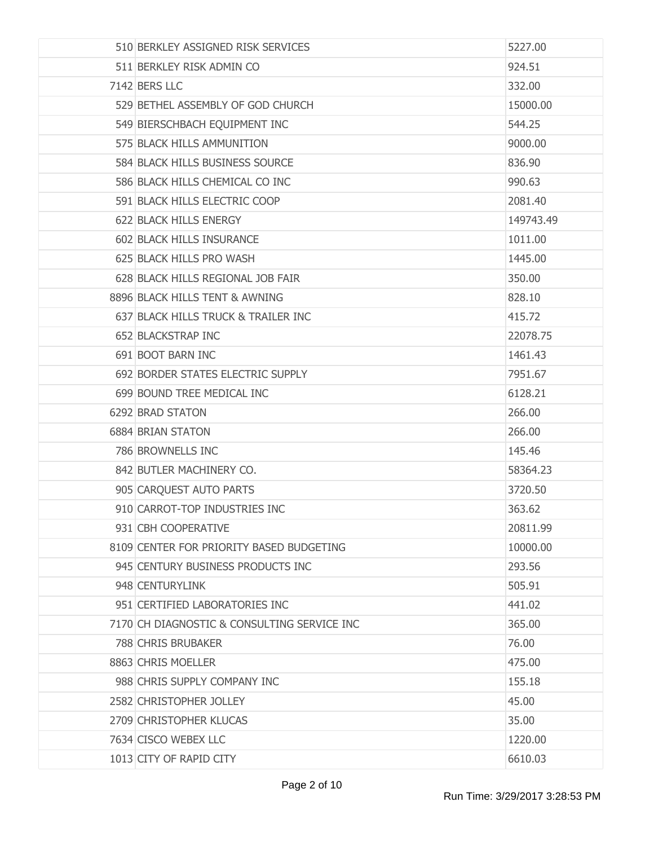| 510 BERKLEY ASSIGNED RISK SERVICES          | 5227.00   |
|---------------------------------------------|-----------|
| 511 BERKLEY RISK ADMIN CO                   | 924.51    |
| 7142 BERS LLC                               | 332.00    |
| 529 BETHEL ASSEMBLY OF GOD CHURCH           | 15000.00  |
| 549 BIERSCHBACH EQUIPMENT INC               | 544.25    |
| 575 BLACK HILLS AMMUNITION                  | 9000.00   |
| 584 BLACK HILLS BUSINESS SOURCE             | 836.90    |
| 586 BLACK HILLS CHEMICAL CO INC             | 990.63    |
| 591 BLACK HILLS ELECTRIC COOP               | 2081.40   |
| 622 BLACK HILLS ENERGY                      | 149743.49 |
| 602 BLACK HILLS INSURANCE                   | 1011.00   |
| 625 BLACK HILLS PRO WASH                    | 1445.00   |
| 628 BLACK HILLS REGIONAL JOB FAIR           | 350.00    |
| 8896 BLACK HILLS TENT & AWNING              | 828.10    |
| 637 BLACK HILLS TRUCK & TRAILER INC         | 415.72    |
| 652 BLACKSTRAP INC                          | 22078.75  |
| 691 BOOT BARN INC                           | 1461.43   |
| 692 BORDER STATES ELECTRIC SUPPLY           | 7951.67   |
| 699 BOUND TREE MEDICAL INC                  | 6128.21   |
| 6292 BRAD STATON                            | 266.00    |
| <b>6884 BRIAN STATON</b>                    | 266.00    |
| 786 BROWNELLS INC                           | 145.46    |
| 842 BUTLER MACHINERY CO.                    | 58364.23  |
| 905 CARQUEST AUTO PARTS                     | 3720.50   |
| 910 CARROT-TOP INDUSTRIES INC               | 363.62    |
| 931 CBH COOPERATIVE                         | 20811.99  |
| 8109 CENTER FOR PRIORITY BASED BUDGETING    | 10000.00  |
| 945 CENTURY BUSINESS PRODUCTS INC           | 293.56    |
| 948 CENTURYLINK                             | 505.91    |
| 951 CERTIFIED LABORATORIES INC              | 441.02    |
| 7170 CH DIAGNOSTIC & CONSULTING SERVICE INC | 365.00    |
| 788 CHRIS BRUBAKER                          | 76.00     |
| 8863 CHRIS MOELLER                          | 475.00    |
| 988 CHRIS SUPPLY COMPANY INC                | 155.18    |
| 2582 CHRISTOPHER JOLLEY                     | 45.00     |
| 2709 CHRISTOPHER KLUCAS                     | 35.00     |
| 7634 CISCO WEBEX LLC                        | 1220.00   |
| 1013 CITY OF RAPID CITY                     | 6610.03   |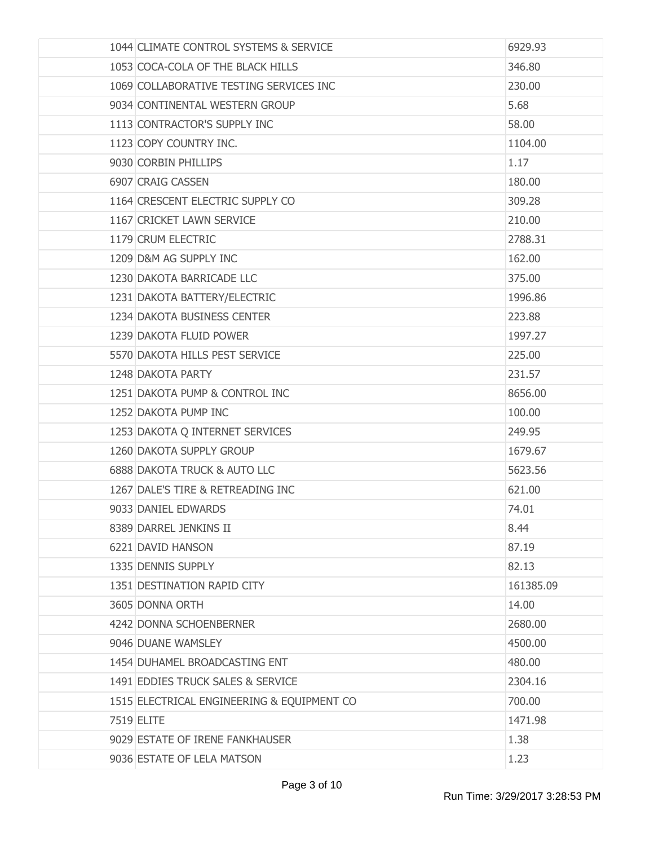| 1044 CLIMATE CONTROL SYSTEMS & SERVICE     | 6929.93   |
|--------------------------------------------|-----------|
| 1053 COCA-COLA OF THE BLACK HILLS          | 346.80    |
| 1069 COLLABORATIVE TESTING SERVICES INC    | 230.00    |
| 9034 CONTINENTAL WESTERN GROUP             | 5.68      |
| 1113 CONTRACTOR'S SUPPLY INC               | 58.00     |
| 1123 COPY COUNTRY INC.                     | 1104.00   |
| 9030 CORBIN PHILLIPS                       | 1.17      |
| 6907 CRAIG CASSEN                          | 180.00    |
| 1164 CRESCENT ELECTRIC SUPPLY CO           | 309.28    |
| 1167 CRICKET LAWN SERVICE                  | 210.00    |
| 1179 CRUM ELECTRIC                         | 2788.31   |
| 1209 D&M AG SUPPLY INC                     | 162,00    |
| 1230 DAKOTA BARRICADE LLC                  | 375.00    |
| 1231 DAKOTA BATTERY/ELECTRIC               | 1996.86   |
| 1234 DAKOTA BUSINESS CENTER                | 223.88    |
| 1239 DAKOTA FLUID POWER                    | 1997.27   |
| 5570 DAKOTA HILLS PEST SERVICE             | 225.00    |
| 1248 DAKOTA PARTY                          | 231.57    |
| 1251 DAKOTA PUMP & CONTROL INC             | 8656.00   |
| 1252 DAKOTA PUMP INC                       | 100.00    |
| 1253 DAKOTA Q INTERNET SERVICES            | 249.95    |
| 1260 DAKOTA SUPPLY GROUP                   | 1679.67   |
| 6888 DAKOTA TRUCK & AUTO LLC               | 5623.56   |
| 1267 DALE'S TIRE & RETREADING INC          | 621.00    |
| 9033 DANIEL EDWARDS                        | 74.01     |
| 8389 DARREL JENKINS II                     | 8.44      |
| 6221 DAVID HANSON                          | 87.19     |
| 1335 DENNIS SUPPLY                         | 82.13     |
| 1351 DESTINATION RAPID CITY                | 161385.09 |
| 3605 DONNA ORTH                            | 14.00     |
| 4242 DONNA SCHOENBERNER                    | 2680.00   |
| 9046 DUANE WAMSLEY                         | 4500.00   |
| 1454 DUHAMEL BROADCASTING ENT              | 480.00    |
| 1491 EDDIES TRUCK SALES & SERVICE          | 2304.16   |
| 1515 ELECTRICAL ENGINEERING & EQUIPMENT CO | 700.00    |
| 7519 ELITE                                 | 1471.98   |
| 9029 ESTATE OF IRENE FANKHAUSER            | 1.38      |
| 9036 ESTATE OF LELA MATSON                 | 1.23      |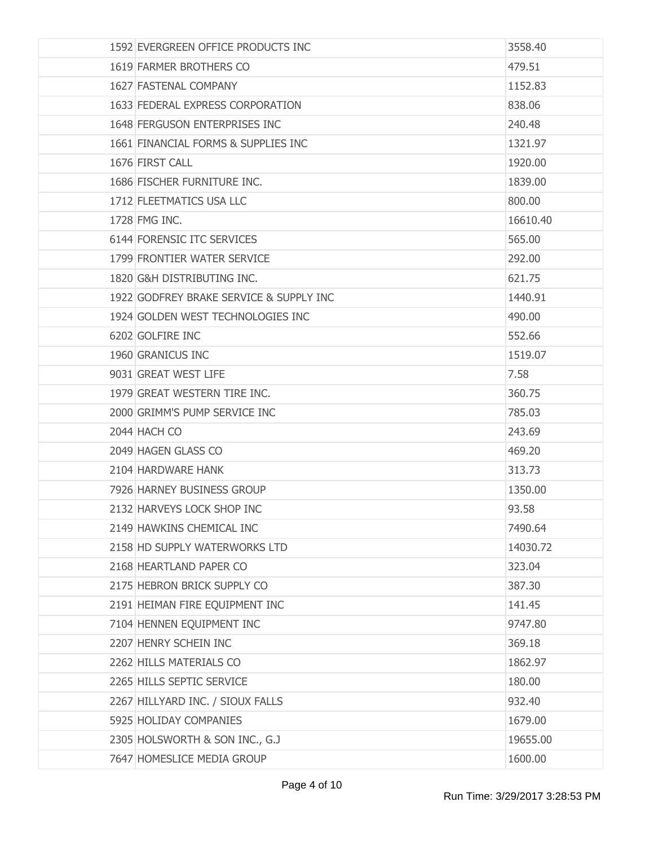| 1592 EVERGREEN OFFICE PRODUCTS INC      | 3558.40  |
|-----------------------------------------|----------|
| 1619 FARMER BROTHERS CO                 | 479.51   |
| 1627 FASTENAL COMPANY                   | 1152.83  |
| 1633 FEDERAL EXPRESS CORPORATION        | 838.06   |
| 1648 FERGUSON ENTERPRISES INC           | 240.48   |
| 1661 FINANCIAL FORMS & SUPPLIES INC     | 1321.97  |
| 1676 FIRST CALL                         | 1920.00  |
| 1686 FISCHER FURNITURE INC.             | 1839.00  |
| 1712 FLEETMATICS USA LLC                | 800.00   |
| 1728 FMG INC.                           | 16610.40 |
| 6144 FORENSIC ITC SERVICES              | 565.00   |
| 1799 FRONTIER WATER SERVICE             | 292.00   |
| 1820 G&H DISTRIBUTING INC.              | 621.75   |
| 1922 GODFREY BRAKE SERVICE & SUPPLY INC | 1440.91  |
| 1924 GOLDEN WEST TECHNOLOGIES INC       | 490.00   |
| 6202 GOLFIRE INC                        | 552.66   |
| 1960 GRANICUS INC                       | 1519.07  |
| 9031 GREAT WEST LIFE                    | 7.58     |
| 1979 GREAT WESTERN TIRE INC.            | 360.75   |
| 2000 GRIMM'S PUMP SERVICE INC           | 785.03   |
| 2044 HACH CO                            | 243.69   |
| 2049 HAGEN GLASS CO                     | 469.20   |
| 2104 HARDWARE HANK                      | 313.73   |
| 7926 HARNEY BUSINESS GROUP              | 1350.00  |
| 2132 HARVEYS LOCK SHOP INC              | 93.58    |
| 2149 HAWKINS CHEMICAL INC               | 7490.64  |
| 2158 HD SUPPLY WATERWORKS LTD           | 14030.72 |
| 2168 HEARTLAND PAPER CO                 | 323.04   |
| 2175 HEBRON BRICK SUPPLY CO             | 387.30   |
| 2191 HEIMAN FIRE EQUIPMENT INC          | 141.45   |
| 7104 HENNEN EQUIPMENT INC               | 9747.80  |
| 2207 HENRY SCHEIN INC                   | 369.18   |
| 2262 HILLS MATERIALS CO                 | 1862.97  |
| 2265 HILLS SEPTIC SERVICE               | 180.00   |
| 2267 HILLYARD INC. / SIOUX FALLS        | 932.40   |
| 5925 HOLIDAY COMPANIES                  | 1679.00  |
| 2305 HOLSWORTH & SON INC., G.J          | 19655.00 |
| 7647 HOMESLICE MEDIA GROUP              | 1600.00  |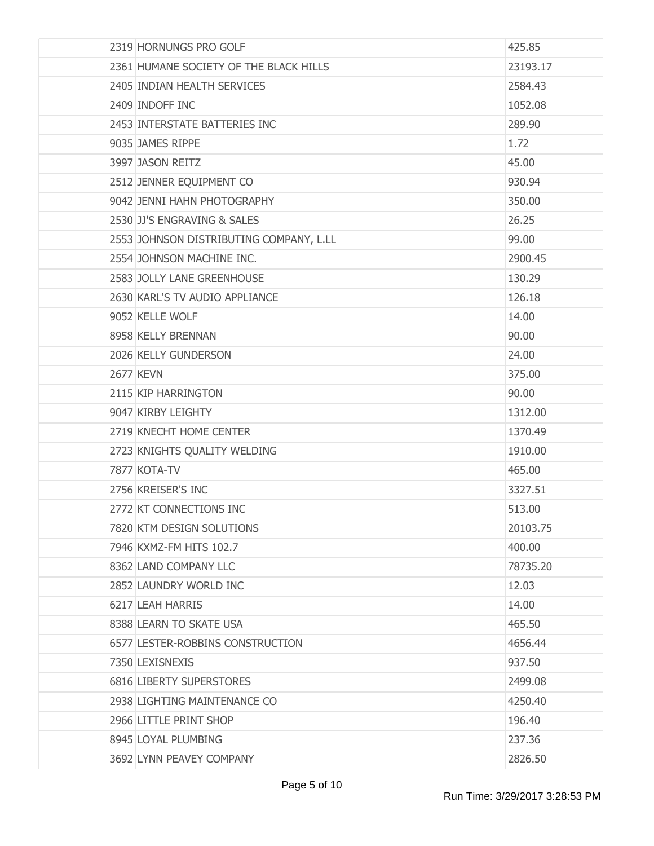| 2319 HORNUNGS PRO GOLF                  | 425.85   |
|-----------------------------------------|----------|
| 2361 HUMANE SOCIETY OF THE BLACK HILLS  | 23193.17 |
| 2405 INDIAN HEALTH SERVICES             | 2584.43  |
| 2409 INDOFF INC                         | 1052.08  |
| 2453 INTERSTATE BATTERIES INC           | 289.90   |
| 9035 JAMES RIPPE                        | 1.72     |
| 3997 JASON REITZ                        | 45.00    |
| 2512 JENNER EQUIPMENT CO                | 930.94   |
| 9042 JENNI HAHN PHOTOGRAPHY             | 350.00   |
| 2530 JJ'S ENGRAVING & SALES             | 26.25    |
| 2553 JOHNSON DISTRIBUTING COMPANY, L.LL | 99.00    |
| 2554 JOHNSON MACHINE INC.               | 2900.45  |
| 2583 JOLLY LANE GREENHOUSE              | 130.29   |
| 2630 KARL'S TV AUDIO APPLIANCE          | 126.18   |
| 9052 KELLE WOLF                         | 14.00    |
| 8958 KELLY BRENNAN                      | 90.00    |
| 2026 KELLY GUNDERSON                    | 24.00    |
| <b>2677 KEVN</b>                        | 375.00   |
| 2115 KIP HARRINGTON                     | 90.00    |
| 9047 KIRBY LEIGHTY                      | 1312.00  |
| 2719 KNECHT HOME CENTER                 | 1370.49  |
| 2723 KNIGHTS QUALITY WELDING            | 1910.00  |
| 7877 KOTA-TV                            | 465.00   |
| 2756 KREISER'S INC                      | 3327.51  |
| 2772 KT CONNECTIONS INC                 | 513.00   |
| 7820 KTM DESIGN SOLUTIONS               | 20103.75 |
| 7946 KXMZ-FM HITS 102.7                 | 400.00   |
| 8362 LAND COMPANY LLC                   | 78735.20 |
| 2852 LAUNDRY WORLD INC                  | 12.03    |
| 6217 LEAH HARRIS                        | 14.00    |
| 8388 LEARN TO SKATE USA                 | 465.50   |
| 6577 LESTER-ROBBINS CONSTRUCTION        | 4656.44  |
| 7350 LEXISNEXIS                         | 937.50   |
| 6816 LIBERTY SUPERSTORES                | 2499.08  |
| 2938 LIGHTING MAINTENANCE CO            | 4250.40  |
| 2966 LITTLE PRINT SHOP                  | 196.40   |
| 8945 LOYAL PLUMBING                     | 237.36   |
| 3692 LYNN PEAVEY COMPANY                | 2826.50  |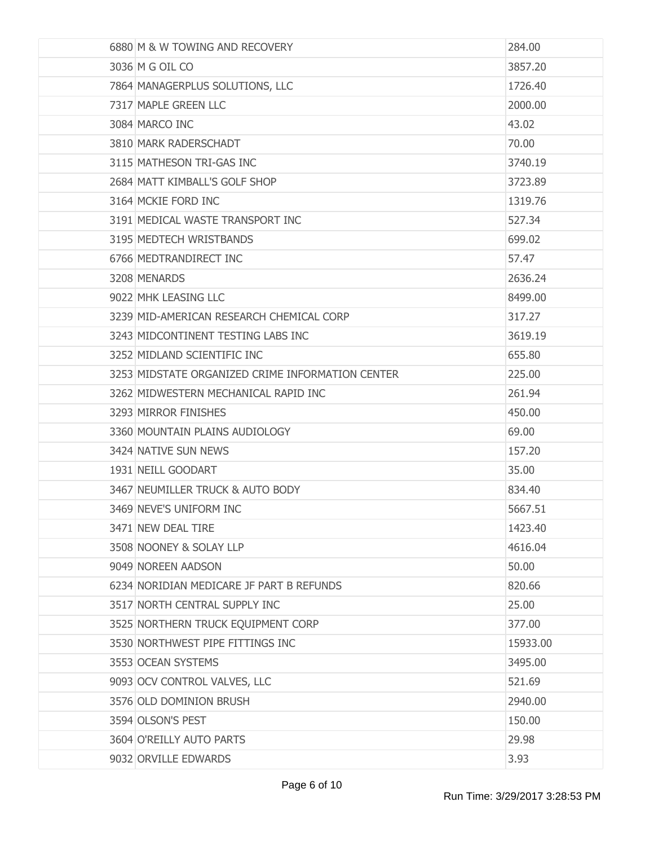| 6880 M & W TOWING AND RECOVERY                   | 284.00   |
|--------------------------------------------------|----------|
| 3036 M G OIL CO                                  | 3857.20  |
| 7864 MANAGERPLUS SOLUTIONS, LLC                  | 1726.40  |
| 7317 MAPLE GREEN LLC                             | 2000.00  |
| 3084 MARCO INC                                   | 43.02    |
| 3810 MARK RADERSCHADT                            | 70.00    |
| 3115 MATHESON TRI-GAS INC                        | 3740.19  |
| 2684 MATT KIMBALL'S GOLF SHOP                    | 3723.89  |
| 3164 MCKIE FORD INC                              | 1319.76  |
| 3191 MEDICAL WASTE TRANSPORT INC                 | 527.34   |
| 3195 MEDTECH WRISTBANDS                          | 699.02   |
| 6766 MEDTRANDIRECT INC                           | 57.47    |
| 3208 MENARDS                                     | 2636.24  |
| 9022 MHK LEASING LLC                             | 8499.00  |
| 3239 MID-AMERICAN RESEARCH CHEMICAL CORP         | 317.27   |
| 3243 MIDCONTINENT TESTING LABS INC               | 3619.19  |
| 3252 MIDLAND SCIENTIFIC INC                      | 655.80   |
| 3253 MIDSTATE ORGANIZED CRIME INFORMATION CENTER | 225.00   |
| 3262 MIDWESTERN MECHANICAL RAPID INC             | 261.94   |
| 3293 MIRROR FINISHES                             | 450.00   |
| 3360 MOUNTAIN PLAINS AUDIOLOGY                   | 69.00    |
| 3424 NATIVE SUN NEWS                             | 157.20   |
| 1931 NEILL GOODART                               | 35,00    |
| 3467 NEUMILLER TRUCK & AUTO BODY                 | 834.40   |
| 3469 NEVE'S UNIFORM INC                          | 5667.51  |
| 3471 NEW DEAL TIRE                               | 1423.40  |
| 3508 NOONEY & SOLAY LLP                          | 4616.04  |
| 9049 NOREEN AADSON                               | 50.00    |
| 6234 NORIDIAN MEDICARE JF PART B REFUNDS         | 820.66   |
| 3517 NORTH CENTRAL SUPPLY INC                    | 25.00    |
| 3525 NORTHERN TRUCK EQUIPMENT CORP               | 377.00   |
| 3530 NORTHWEST PIPE FITTINGS INC                 | 15933.00 |
| 3553 OCEAN SYSTEMS                               | 3495.00  |
| 9093 OCV CONTROL VALVES, LLC                     | 521.69   |
| 3576 OLD DOMINION BRUSH                          | 2940.00  |
| 3594 OLSON'S PEST                                | 150.00   |
| 3604 O'REILLY AUTO PARTS                         | 29.98    |
| 9032 ORVILLE EDWARDS                             | 3.93     |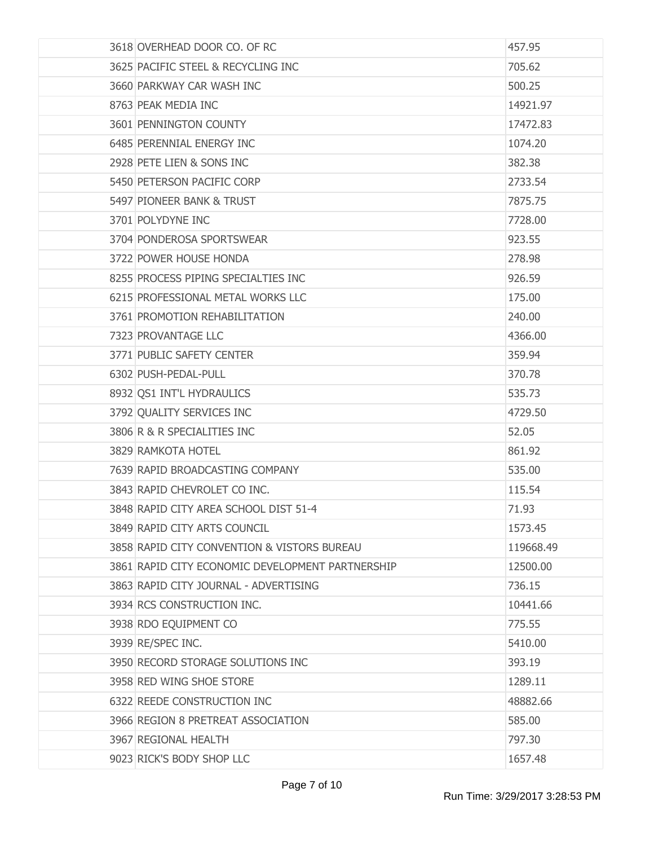| 3618 OVERHEAD DOOR CO. OF RC                     | 457.95    |
|--------------------------------------------------|-----------|
| 3625 PACIFIC STEEL & RECYCLING INC               | 705.62    |
| 3660 PARKWAY CAR WASH INC                        | 500.25    |
| 8763 PEAK MEDIA INC                              | 14921.97  |
| 3601 PENNINGTON COUNTY                           | 17472.83  |
| 6485 PERENNIAL ENERGY INC                        | 1074.20   |
| 2928 PETE LIEN & SONS INC                        | 382.38    |
| 5450 PETERSON PACIFIC CORP                       | 2733.54   |
| 5497 PIONEER BANK & TRUST                        | 7875.75   |
| 3701 POLYDYNE INC                                | 7728.00   |
| 3704 PONDEROSA SPORTSWEAR                        | 923.55    |
| 3722 POWER HOUSE HONDA                           | 278.98    |
| 8255 PROCESS PIPING SPECIALTIES INC              | 926.59    |
| 6215 PROFESSIONAL METAL WORKS LLC                | 175.00    |
| 3761 PROMOTION REHABILITATION                    | 240.00    |
| 7323 PROVANTAGE LLC                              | 4366.00   |
| 3771 PUBLIC SAFETY CENTER                        | 359.94    |
| 6302 PUSH-PEDAL-PULL                             | 370.78    |
| 8932 QS1 INT'L HYDRAULICS                        | 535.73    |
| 3792 QUALITY SERVICES INC                        | 4729.50   |
| 3806 R & R SPECIALITIES INC                      | 52.05     |
| 3829 RAMKOTA HOTEL                               | 861.92    |
| 7639 RAPID BROADCASTING COMPANY                  | 535.00    |
| 3843 RAPID CHEVROLET CO INC.                     | 115.54    |
| 3848 RAPID CITY AREA SCHOOL DIST 51-4            | 71.93     |
| 3849 RAPID CITY ARTS COUNCIL                     | 1573.45   |
| 3858 RAPID CITY CONVENTION & VISTORS BUREAU      | 119668.49 |
| 3861 RAPID CITY ECONOMIC DEVELOPMENT PARTNERSHIP | 12500.00  |
| 3863 RAPID CITY JOURNAL - ADVERTISING            | 736.15    |
| 3934 RCS CONSTRUCTION INC.                       | 10441.66  |
| 3938 RDO EQUIPMENT CO                            | 775.55    |
| 3939 RE/SPEC INC.                                | 5410.00   |
| 3950 RECORD STORAGE SOLUTIONS INC                | 393.19    |
| 3958 RED WING SHOE STORE                         | 1289.11   |
| 6322 REEDE CONSTRUCTION INC                      | 48882.66  |
| 3966 REGION 8 PRETREAT ASSOCIATION               | 585.00    |
| 3967 REGIONAL HEALTH                             | 797.30    |
| 9023 RICK'S BODY SHOP LLC                        | 1657.48   |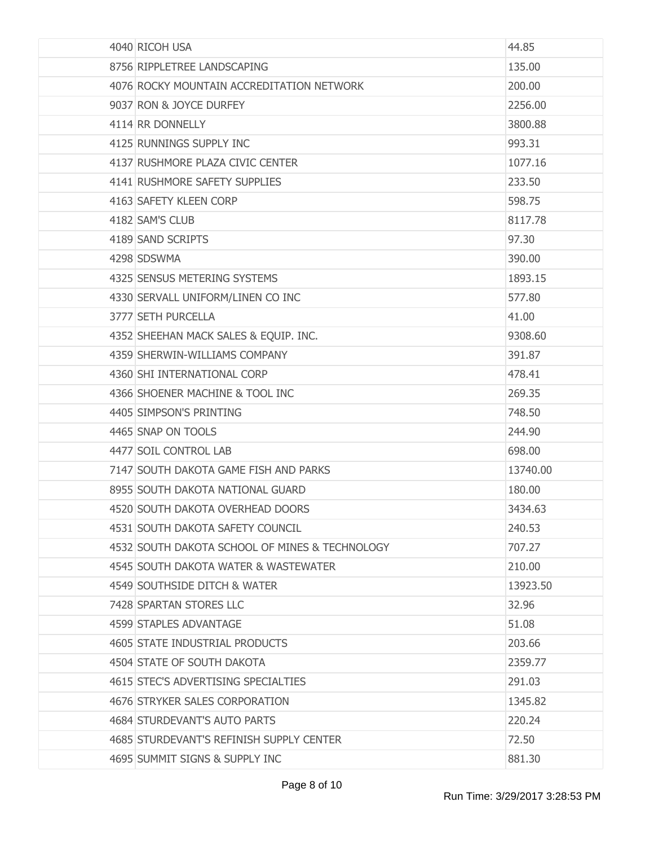| 4040 RICOH USA                                 | 44.85    |
|------------------------------------------------|----------|
| 8756 RIPPLETREE LANDSCAPING                    | 135.00   |
| 4076 ROCKY MOUNTAIN ACCREDITATION NETWORK      | 200.00   |
| 9037 RON & JOYCE DURFEY                        | 2256.00  |
| 4114 RR DONNELLY                               | 3800.88  |
| 4125 RUNNINGS SUPPLY INC                       | 993.31   |
| 4137 RUSHMORE PLAZA CIVIC CENTER               | 1077.16  |
| 4141 RUSHMORE SAFETY SUPPLIES                  | 233.50   |
| 4163 SAFETY KLEEN CORP                         | 598.75   |
| 4182 SAM'S CLUB                                | 8117.78  |
| 4189 SAND SCRIPTS                              | 97.30    |
| 4298 SDSWMA                                    | 390,00   |
| 4325 SENSUS METERING SYSTEMS                   | 1893.15  |
| 4330 SERVALL UNIFORM/LINEN CO INC              | 577.80   |
| 3777 SETH PURCELLA                             | 41.00    |
| 4352 SHEEHAN MACK SALES & EQUIP. INC.          | 9308.60  |
| 4359 SHERWIN-WILLIAMS COMPANY                  | 391.87   |
| 4360 SHI INTERNATIONAL CORP                    | 478.41   |
| 4366 SHOENER MACHINE & TOOL INC                | 269.35   |
| 4405 SIMPSON'S PRINTING                        | 748.50   |
| 4465 SNAP ON TOOLS                             | 244.90   |
| 4477 SOIL CONTROL LAB                          | 698.00   |
| 7147 SOUTH DAKOTA GAME FISH AND PARKS          | 13740.00 |
| 8955 SOUTH DAKOTA NATIONAL GUARD               | 180.00   |
| 4520 SOUTH DAKOTA OVERHEAD DOORS               | 3434.63  |
| 4531 SOUTH DAKOTA SAFETY COUNCIL               | 240.53   |
| 4532 SOUTH DAKOTA SCHOOL OF MINES & TECHNOLOGY | 707.27   |
| 4545 SOUTH DAKOTA WATER & WASTEWATER           | 210.00   |
| 4549 SOUTHSIDE DITCH & WATER                   | 13923.50 |
| 7428 SPARTAN STORES LLC                        | 32.96    |
| 4599 STAPLES ADVANTAGE                         | 51.08    |
| 4605 STATE INDUSTRIAL PRODUCTS                 | 203.66   |
| 4504 STATE OF SOUTH DAKOTA                     | 2359.77  |
| 4615 STEC'S ADVERTISING SPECIALTIES            | 291.03   |
| 4676 STRYKER SALES CORPORATION                 | 1345.82  |
| 4684 STURDEVANT'S AUTO PARTS                   | 220.24   |
| 4685 STURDEVANT'S REFINISH SUPPLY CENTER       | 72.50    |
| 4695 SUMMIT SIGNS & SUPPLY INC                 | 881.30   |